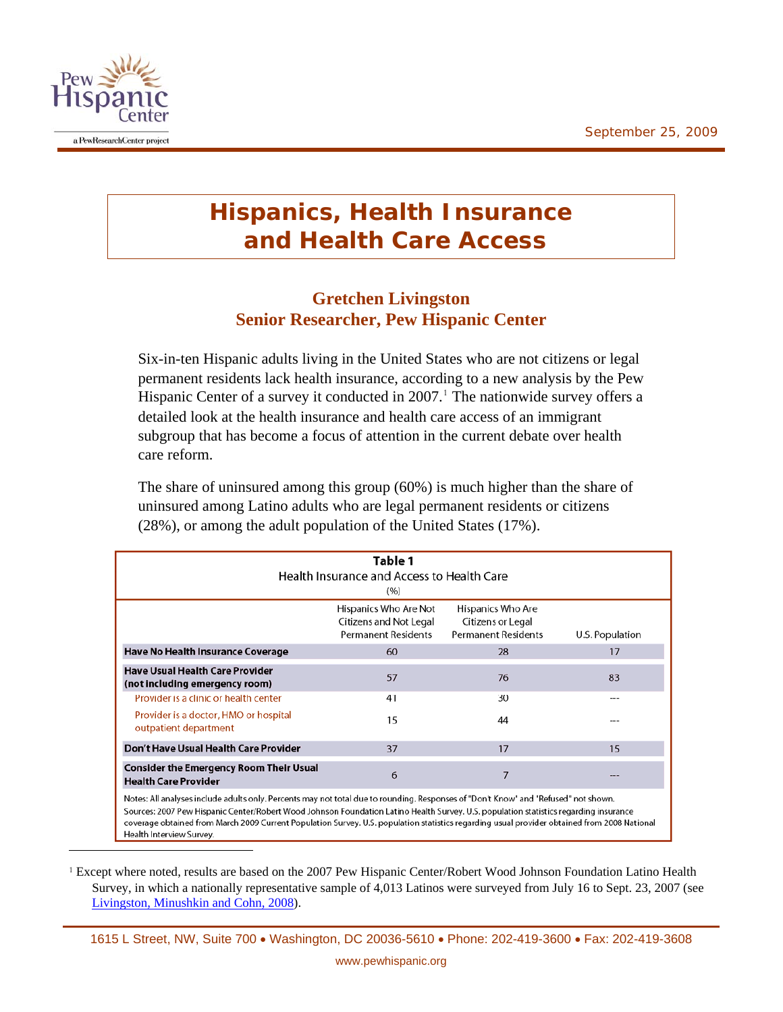

l

## **Hispanics, Health Insurance and Health Care Access**

## **Gretchen Livingston Senior Researcher, Pew Hispanic Center**

Six-in-ten Hispanic adults living in the United States who are not citizens or legal permanent residents lack health insurance, according to a new analysis by the Pew Hispanic Center of a survey it conducted in  $2007$ .<sup>[1](#page-1-0)</sup> The nationwide survey offers a detailed look at the health insurance and health care access of an immigrant subgroup that has become a focus of attention in the current debate over health care reform.

The share of uninsured among this group (60%) is much higher than the share of uninsured among Latino adults who are legal permanent residents or citizens (28%), or among the adult population of the United States (17%).

| Table 1<br>Health Insurance and Access to Health Care<br>(% )                                                                                                                                                                                                                |                                                                               |                                                                      |                 |  |
|------------------------------------------------------------------------------------------------------------------------------------------------------------------------------------------------------------------------------------------------------------------------------|-------------------------------------------------------------------------------|----------------------------------------------------------------------|-----------------|--|
|                                                                                                                                                                                                                                                                              | Hispanics Who Are Not<br>Citizens and Not Legal<br><b>Permanent Residents</b> | Hispanics Who Are<br>Citizens or Legal<br><b>Permanent Residents</b> | U.S. Population |  |
| Have No Health Insurance Coverage                                                                                                                                                                                                                                            | 60                                                                            | 28                                                                   | 17              |  |
| Have Usual Health Care Provider<br>(not including emergency room)                                                                                                                                                                                                            | 57                                                                            | 76                                                                   | 83              |  |
| Provider is a clinic or health center                                                                                                                                                                                                                                        | 41                                                                            | 30                                                                   |                 |  |
| Provider is a doctor, HMO or hospital<br>outpatient department                                                                                                                                                                                                               | 15                                                                            | 44                                                                   |                 |  |
| Don't Have Usual Health Care Provider                                                                                                                                                                                                                                        | 37                                                                            | 17                                                                   | 15              |  |
| <b>Consider the Emergency Room Their Usual</b><br><b>Health Care Provider</b>                                                                                                                                                                                                | 6                                                                             | 7                                                                    |                 |  |
| Notes: All analyses include adults only. Percents may not total due to rounding. Responses of "Don't Know" and "Refused" not shown.<br>Sources: 2007 Pew Hispanic Center/Robert Wood Johnson Foundation Latino Health Survey, U.S. population statistics regarding insurance |                                                                               |                                                                      |                 |  |

coverage obtained from March 2009 Current Population Survey. U.S. population statistics regarding usual provider obtained from 2008 National Health Interview Survey.

<sup>1</sup> Except where noted, results are based on the 2007 Pew Hispanic Center/Robert Wood Johnson Foundation Latino Health Survey, in which a nationally representative sample of 4,013 Latinos were surveyed from July 16 to Sept. 23, 2007 (see [Livingston, Minushkin and Cohn, 2008\)](http://pewhispanic.org/reports/report.php?ReportID=91).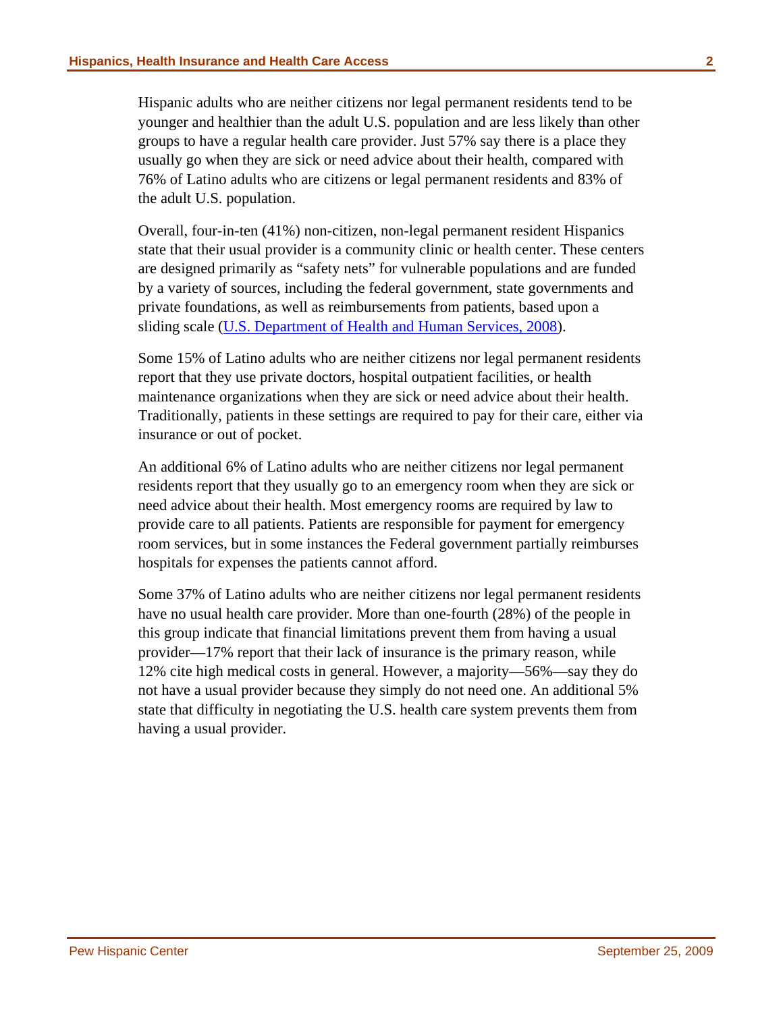Hispanic adults who are neither citizens nor legal permanent residents tend to be younger and healthier than the adult U.S. population and are less likely than other groups to have a regular health care provider. Just 57% say there is a place they usually go when they are sick or need advice about their health, compared with 76% of Latino adults who are citizens or legal permanent residents and 83% of the adult U.S. population.

Overall, four-in-ten (41%) non-citizen, non-legal permanent resident Hispanics state that their usual provider is a community clinic or health center. These centers are designed primarily as "safety nets" for vulnerable populations and are funded by a variety of sources, including the federal government, state governments and private foundations, as well as reimbursements from patients, based upon a sliding scale ([U.S. Department of Health and Human Services, 2008\)](ftp://ftp.hrsa.gov/bphc/HRSA_HealthCenterProgramReport.pdf).

Some 15% of Latino adults who are neither citizens nor legal permanent residents report that they use private doctors, hospital outpatient facilities, or health maintenance organizations when they are sick or need advice about their health. Traditionally, patients in these settings are required to pay for their care, either via insurance or out of pocket.

An additional 6% of Latino adults who are neither citizens nor legal permanent residents report that they usually go to an emergency room when they are sick or need advice about their health. Most emergency rooms are required by law to provide care to all patients. Patients are responsible for payment for emergency room services, but in some instances the Federal government partially reimburses hospitals for expenses the patients cannot afford.

<span id="page-1-0"></span>Some 37% of Latino adults who are neither citizens nor legal permanent residents have no usual health care provider. More than one-fourth (28%) of the people in this group indicate that financial limitations prevent them from having a usual provider—17% report that their lack of insurance is the primary reason, while 12% cite high medical costs in general. However, a majority—56%—say they do not have a usual provider because they simply do not need one. An additional 5% state that difficulty in negotiating the U.S. health care system prevents them from having a usual provider.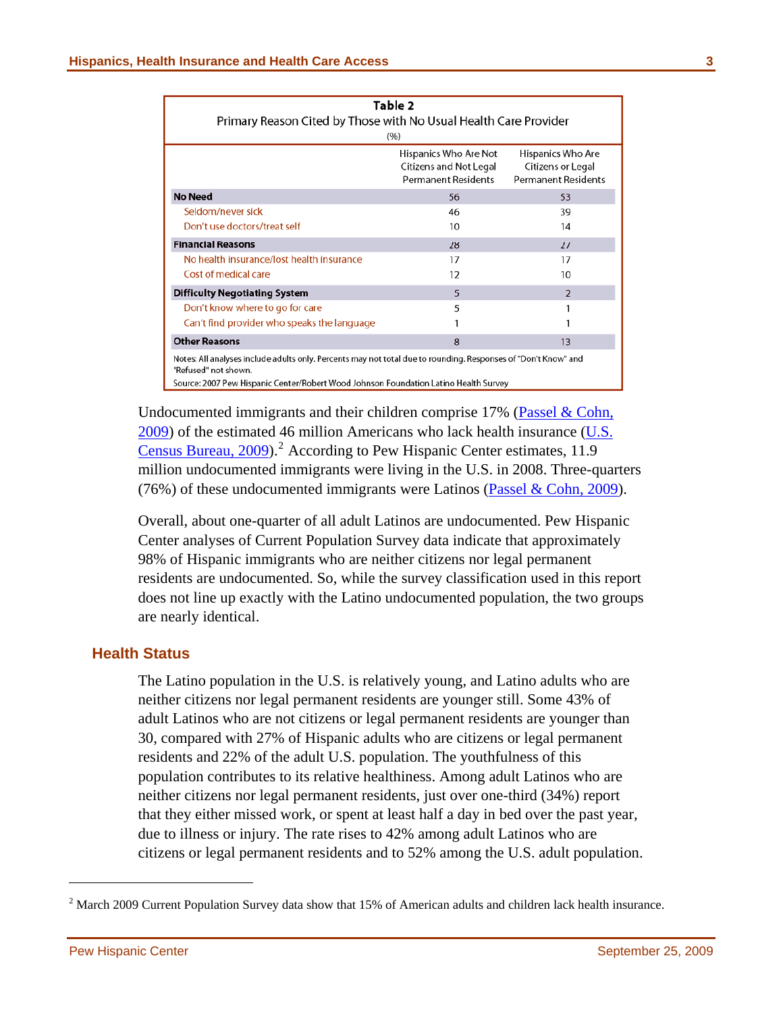| Table 2<br>Primary Reason Cited by Those with No Usual Health Care Provider<br>(% )                                                                                                                                            |                                                                               |                                                                      |  |
|--------------------------------------------------------------------------------------------------------------------------------------------------------------------------------------------------------------------------------|-------------------------------------------------------------------------------|----------------------------------------------------------------------|--|
|                                                                                                                                                                                                                                | Hispanics Who Are Not<br>Citizens and Not Legal<br><b>Permanent Residents</b> | Hispanics Who Are<br>Citizens or Legal<br><b>Permanent Residents</b> |  |
| <b>No Need</b>                                                                                                                                                                                                                 | 56                                                                            | 53                                                                   |  |
| Seldom/never sick                                                                                                                                                                                                              | 46                                                                            | 39                                                                   |  |
| Don't use doctors/treat self                                                                                                                                                                                                   | 10                                                                            | 14                                                                   |  |
| <b>Financial Reasons</b>                                                                                                                                                                                                       | 28                                                                            | 27                                                                   |  |
| No health insurance/lost health insurance                                                                                                                                                                                      | 17                                                                            | 17                                                                   |  |
| Cost of medical care                                                                                                                                                                                                           | 12                                                                            | 10                                                                   |  |
| <b>Difficulty Negotiating System</b>                                                                                                                                                                                           | 5                                                                             | $\overline{2}$                                                       |  |
| Don't know where to go for care                                                                                                                                                                                                | 5                                                                             |                                                                      |  |
| Can't find provider who speaks the language                                                                                                                                                                                    |                                                                               |                                                                      |  |
| <b>Other Reasons</b>                                                                                                                                                                                                           | 8                                                                             | 13                                                                   |  |
| Notes: All analyses include adults only. Percents may not total due to rounding. Responses of "Don't Know" and<br>"Refused" not shown.<br>Source: 2007 Pew Hispanic Center/Robert Wood Johnson Foundation Latino Health Survey |                                                                               |                                                                      |  |

Undocumented immigrants and their children comprise  $17\%$  (Passel & Cohn,  $2009$ ) of the estimated 46 million Americans who lack health insurance (U.S. [Census Bureau, 2009](http://www.census.gov/prod/2009pubs/p60-236.pdf)).<sup>[2](#page-3-0)</sup> According to Pew Hispanic Center estimates, 11.9 million undocumented immigrants were living in the U.S. in 2008. Three-quarters (76%) of these undocumented immigrants were Latinos [\(Passel & Cohn, 20](http://pewhispanic.org/reports/report.php?ReportID=107)09).

Overall, about one-quarter of all adult Latinos are undocumented. Pew Hispanic Center analyses of Current Population Survey data indicate that approximately 98% of Hispanic immigrants who are neither citizens nor legal permanent residents are undocumented. So, while the survey classification used in this report does not line up exactly with the Latino undocumented population, the two groups are nearly identical.

## **Health Status**

The Latino population in the U.S. is relatively young, and Latino adults who are neither citizens nor legal permanent residents are younger still. Some 43% of adult Latinos who are not citizens or legal permanent residents are younger than 30, compared with 27% of Hispanic adults who are citizens or legal permanent residents and 22% of the adult U.S. population. The youthfulness of this population contributes to its relative healthiness. Among adult Latinos who are neither citizens nor legal permanent residents, just over one-third (34%) report that they either missed work, or spent at least half a day in bed over the past year, due to illness or injury. The rate rises to 42% among adult Latinos who are citizens or legal permanent residents and to 52% among the U.S. adult population.

l

<sup>&</sup>lt;sup>2</sup> March 2009 Current Population Survey data show that 15% of American adults and children lack health insurance.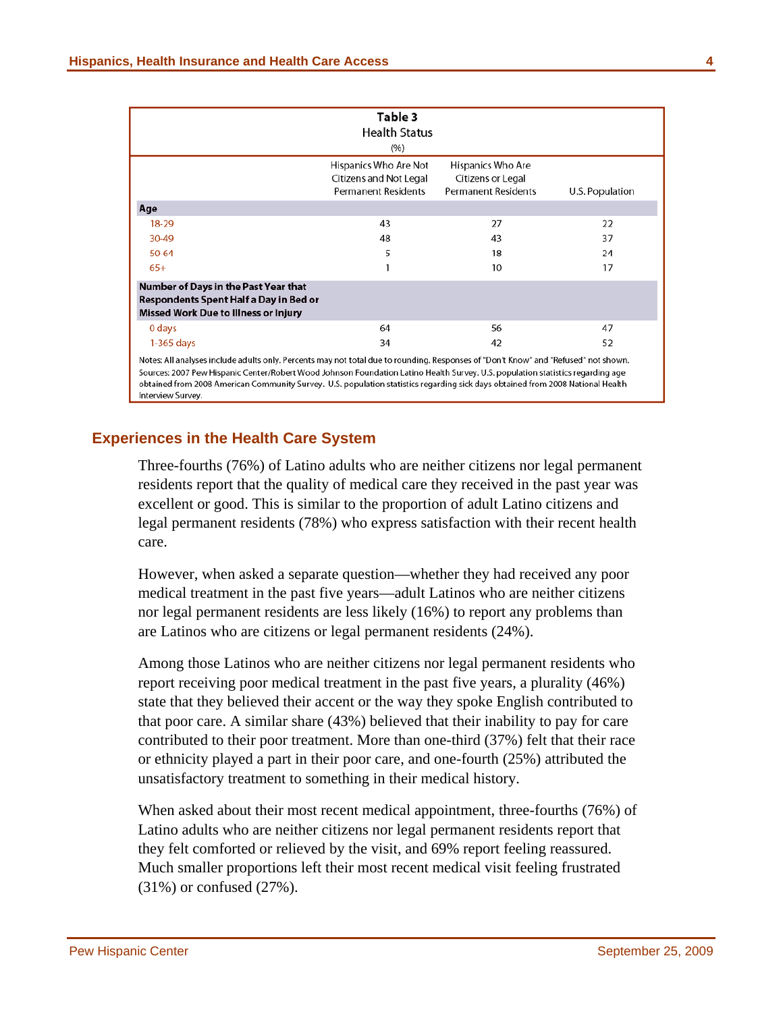|                                                                                                                                     | Table 3<br><b>Health Status</b><br>(% )                                       |                                                                      |                 |  |
|-------------------------------------------------------------------------------------------------------------------------------------|-------------------------------------------------------------------------------|----------------------------------------------------------------------|-----------------|--|
|                                                                                                                                     | Hispanics Who Are Not<br>Citizens and Not Legal<br><b>Permanent Residents</b> | Hispanics Who Are<br>Citizens or Legal<br><b>Permanent Residents</b> | U.S. Population |  |
| Age                                                                                                                                 |                                                                               |                                                                      |                 |  |
| 18-29                                                                                                                               | 43                                                                            | 27                                                                   | 22              |  |
| 30-49                                                                                                                               | 48                                                                            | 43                                                                   | 37              |  |
| 50-64                                                                                                                               | 5                                                                             | 18                                                                   | 24              |  |
| $65+$                                                                                                                               | 1                                                                             | 10                                                                   | 17              |  |
| Number of Days in the Past Year that<br>Respondents Spent Half a Day in Bed or<br>Missed Work Due to Illness or Injury              |                                                                               |                                                                      |                 |  |
| 0 days                                                                                                                              | 64                                                                            | 56                                                                   | 47              |  |
| 1-365 days                                                                                                                          | 34                                                                            | 42                                                                   | 52              |  |
| Notes: All analyses include adults only. Percents may not total due to rounding. Responses of "Don't Know" and "Refused" not shown. |                                                                               |                                                                      |                 |  |

Sources: 2007 Pew Hispanic Center/Robert Wood Johnson Foundation Latino Health Survey. U.S. population statistics regarding age obtained from 2008 American Community Survey. U.S. population statistics regarding sick days obtained from 2008 National Health Interview Survey.

## **Experiences in the Health Care System**

Three-fourths (76%) of Latino adults who are neither citizens nor legal permanent residents report that the quality of medical care they received in the past year was excellent or good. This is similar to the proportion of adult Latino citizens and legal permanent residents (78%) who express satisfaction with their recent health care.

However, when asked a separate question—whether they had received any poor medical treatment in the past five years—adult Latinos who are neither citizens nor legal permanent residents are less likely (16%) to report any problems than are Latinos who are citizens or legal permanent residents (24%).

Among those Latinos who are neither citizens nor legal permanent residents who report receiving poor medical treatment in the past five years, a plurality (46%) state that they believed their accent or the way they spoke English contributed to that poor care. A similar share (43%) believed that their inability to pay for care contributed to their poor treatment. More than one-third (37%) felt that their race or ethnicity played a part in their poor care, and one-fourth (25%) attributed the unsatisfactory treatment to something in their medical history.

<span id="page-3-0"></span>When asked about their most recent medical appointment, three-fourths (76%) of Latino adults who are neither citizens nor legal permanent residents report that they felt comforted or relieved by the visit, and 69% report feeling reassured. Much smaller proportions left their most recent medical visit feeling frustrated (31%) or confused (27%).